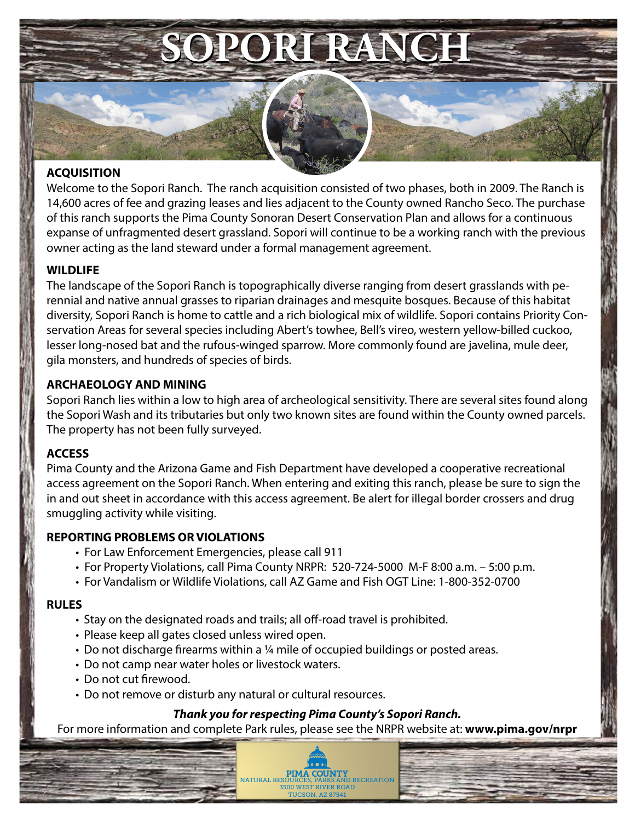# **SOPORI RANCH SOPORI RANCH**

### **ACQUISITION**

Welcome to the Sopori Ranch. The ranch acquisition consisted of two phases, both in 2009. The Ranch is 14,600 acres of fee and grazing leases and lies adjacent to the County owned Rancho Seco. The purchase of this ranch supports the Pima County Sonoran Desert Conservation Plan and allows for a continuous expanse of unfragmented desert grassland. Sopori will continue to be a working ranch with the previous owner acting as the land steward under a formal management agreement.

### **WILDLIFE**

The landscape of the Sopori Ranch is topographically diverse ranging from desert grasslands with perennial and native annual grasses to riparian drainages and mesquite bosques. Because of this habitat diversity, Sopori Ranch is home to cattle and a rich biological mix of wildlife. Sopori contains Priority Conservation Areas for several species including Abert's towhee, Bell's vireo, western yellow-billed cuckoo, lesser long-nosed bat and the rufous-winged sparrow. More commonly found are javelina, mule deer, gila monsters, and hundreds of species of birds.

### **ARCHAEOLOGY AND MINING**

Sopori Ranch lies within a low to high area of archeological sensitivity. There are several sites found along the Sopori Wash and its tributaries but only two known sites are found within the County owned parcels. The property has not been fully surveyed.

### **ACCESS**

Pima County and the Arizona Game and Fish Department have developed a cooperative recreational access agreement on the Sopori Ranch. When entering and exiting this ranch, please be sure to sign the in and out sheet in accordance with this access agreement. Be alert for illegal border crossers and drug smuggling activity while visiting.

### **REPORTING PROBLEMS OR VIOLATIONS**

- For Law Enforcement Emergencies, please call 911
- For Property Violations, call Pima County NRPR: 520-724-5000 M-F 8:00 a.m. 5:00 p.m.
- For Vandalism or Wildlife Violations, call AZ Game and Fish OGT Line: 1-800-352-0700

### **RULES**

- Stay on the designated roads and trails; all off-road travel is prohibited.
- Please keep all gates closed unless wired open.
- Do not discharge firearms within a ¼ mile of occupied buildings or posted areas.
- Do not camp near water holes or livestock waters.
- Do not cut firewood.
- Do not remove or disturb any natural or cultural resources.

## *Thank you for respecting Pima County's Sopori Ranch.*

For more information and complete Park rules, please see the NRPR website at: **www.pima.gov/nrpr**